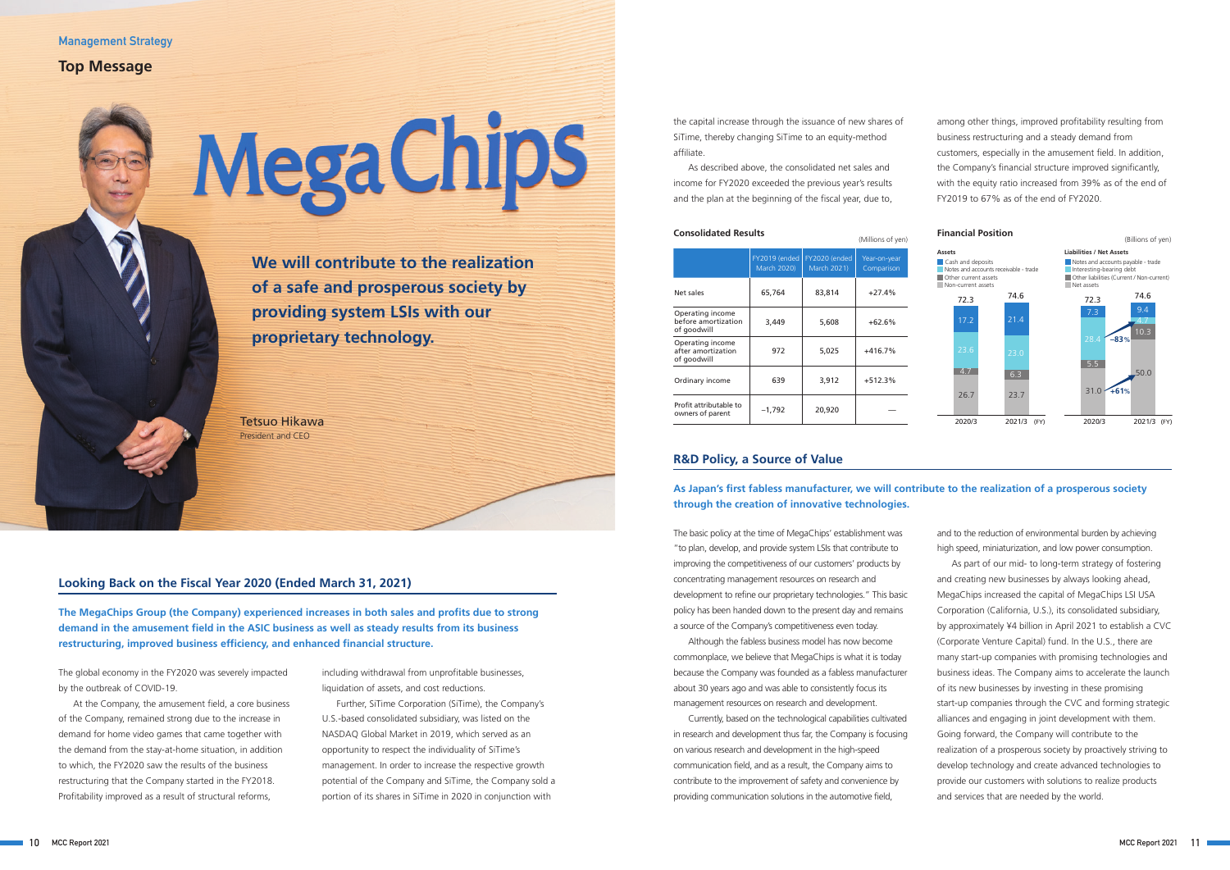The global economy in the FY2020 was severely impacted by the outbreak of COVID-19.

At the Company, the amusement field, a core business of the Company, remained strong due to the increase in demand for home video games that came together with the demand from the stay-at-home situation, in addition to which, the FY2020 saw the results of the business restructuring that the Company started in the FY2018. Profitability improved as a result of structural reforms,

The basic policy at the time of MegaChips' establishment was "to plan, develop, and provide system LSIs that contribute to improving the competitiveness of our customers' products by concentrating management resources on research and development to refine our proprietary technologies." This basic policy has been handed down to the present day and remains a source of the Company's competitiveness even today.

Although the fabless business model has now become commonplace, we believe that MegaChips is what it is today because the Company was founded as a fabless manufacturer about 30 years ago and was able to consistently focus its management resources on research and development.

Currently, based on the technological capabilities cultivated in research and development thus far, the Company is focusing on various research and development in the high-speed communication field, and as a result, the Company aims to contribute to the improvement of safety and convenience by providing communication solutions in the automotive field,

**We will contribute to the realization of a safe and prosperous society by providing system LSIs with our proprietary technology.**

Tetsuo Hikawa President and CEO

> including withdrawal from unprofitable businesses, liquidation of assets, and cost reductions.

Further, SiTime Corporation (SiTime), the Company's U.S.-based consolidated subsidiary, was listed on the NASDAQ Global Market in 2019, which served as an opportunity to respect the individuality of SiTime's management. In order to increase the respective growth potential of the Company and SiTime, the Company sold a portion of its shares in SiTime in 2020 in conjunction with

and to the reduction of environmental burden by achieving high speed, miniaturization, and low power consumption.

As part of our mid- to long-term strategy of fostering and creating new businesses by always looking ahead, MegaChips increased the capital of MegaChips LSI USA Corporation (California, U.S.), its consolidated subsidiary, by approximately ¥4 billion in April 2021 to establish a CVC (Corporate Venture Capital) fund. In the U.S., there are many start-up companies with promising technologies and business ideas. The Company aims to accelerate the launch of its new businesses by investing in these promising start-up companies through the CVC and forming strategic alliances and engaging in joint development with them. Going forward, the Company will contribute to the realization of a prosperous society by proactively striving to develop technology and create advanced technologies to provide our customers with solutions to realize products and services that are needed by the world.

(Millions of yen)

|                                                        | FY2019 (ended<br>March 2020) | FY2020 (ended<br>March 2021) | Year-on-year<br>Comparison |
|--------------------------------------------------------|------------------------------|------------------------------|----------------------------|
| Net sales                                              | 65,764                       | 83,814                       | $+27.4%$                   |
| Operating income<br>before amortization<br>of goodwill | 3,449                        | 5,608                        | $+62.6%$                   |
| Operating income<br>after amortization<br>of goodwill  | 972                          | 5,025                        | $+416.7%$                  |
| Ordinary income                                        | 639                          | 3,912                        | $+512.3%$                  |
| Profit attributable to<br>owners of parent             | $-1,792$                     | 20,920                       |                            |

# **Looking Back on the Fiscal Year 2020 (Ended March 31, 2021)**

**The MegaChips Group (the Company) experienced increases in both sales and profits due to strong demand in the amusement field in the ASIC business as well as steady results from its business restructuring, improved business efficiency, and enhanced financial structure.**

# **R&D Policy, a Source of Value**

# **As Japan's first fabless manufacturer, we will contribute to the realization of a prosperous society through the creation of innovative technologies.**

the capital increase through the issuance of new shares of SiTime, thereby changing SiTime to an equity-method affiliate.

As described above, the consolidated net sales and income for FY2020 exceeded the previous year's results and the plan at the beginning of the fiscal year, due to,

among other things, improved profitability resulting from business restructuring and a steady demand from customers, especially in the amusement field. In addition, the Company's financial structure improved significantly, with the equity ratio increased from 39% as of the end of FY2019 to 67% as of the end of FY2020.



# **Mega Chips**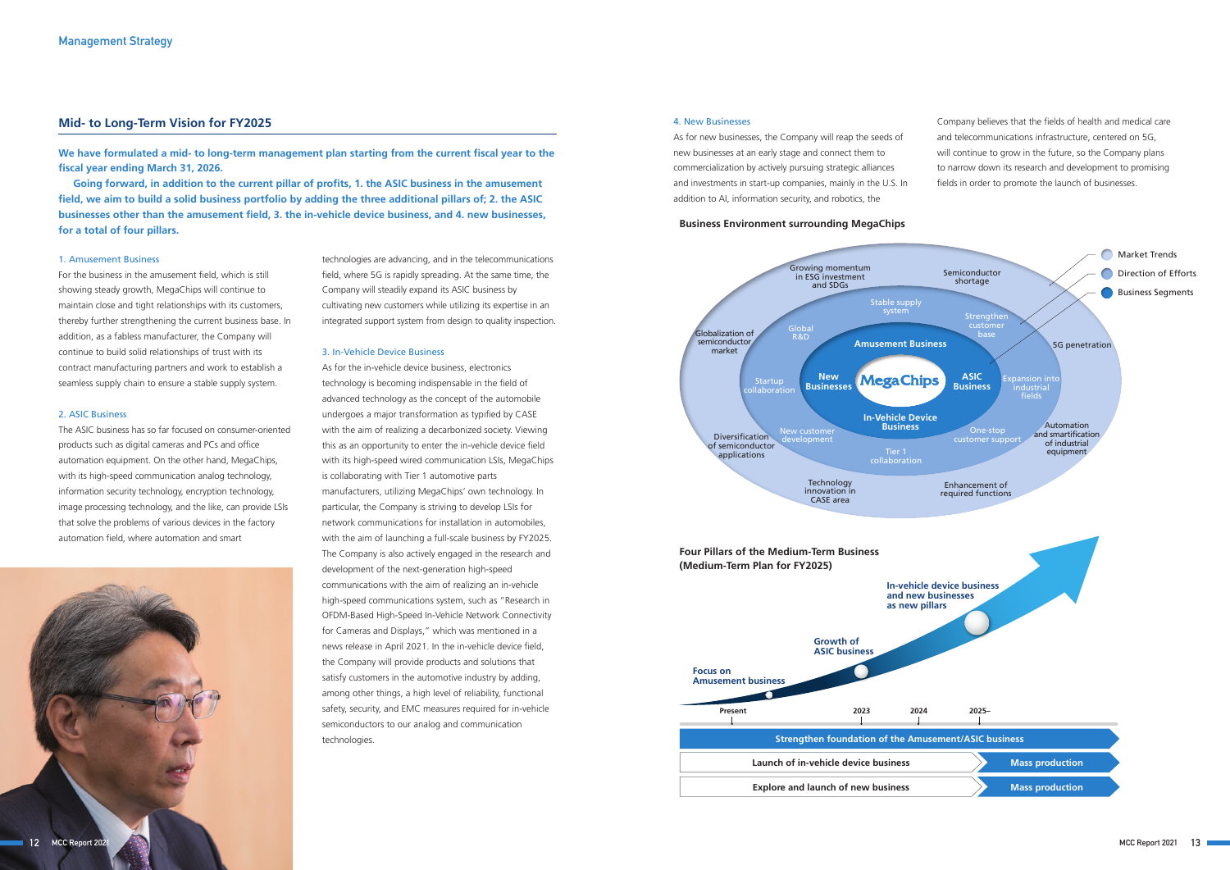#### **Business Environment surrounding MegaChips**



#### **Mid- to Long-Term Vision for FY2025**

**We have formulated a mid- to long-term management plan starting from the current fiscal year to the fiscal year ending March 31, 2026.**



**Going forward, in addition to the current pillar of profits, 1. the ASIC business in the amusement field, we aim to build a solid business portfolio by adding the three additional pillars of; 2. the ASIC businesses other than the amusement field, 3. the in-vehicle device business, and 4. new businesses, for a total of four pillars.**

#### 1. Amusement Business

For the business in the amusement field, which is still showing steady growth, MegaChips will continue to maintain close and tight relationships with its customers, thereby further strengthening the current business base. In addition, as a fabless manufacturer, the Company will continue to build solid relationships of trust with its contract manufacturing partners and work to establish a seamless supply chain to ensure a stable supply system.

#### 2. ASIC Business

The ASIC business has so far focused on consumer-oriented products such as digital cameras and PCs and office automation equipment. On the other hand, MegaChips, with its high-speed communication analog technology, information security technology, encryption technology, image processing technology, and the like, can provide LSIs that solve the problems of various devices in the factory automation field, where automation and smart



technologies are advancing, and in the telecommunications field, where 5G is rapidly spreading. At the same time, the Company will steadily expand its ASIC business by cultivating new customers while utilizing its expertise in an integrated support system from design to quality inspection.

#### 3. In-Vehicle Device Business

As for the in-vehicle device business, electronics technology is becoming indispensable in the field of advanced technology as the concept of the automobile undergoes a major transformation as typified by CASE with the aim of realizing a decarbonized society. Viewing this as an opportunity to enter the in-vehicle device field with its high-speed wired communication LSIs, MegaChips is collaborating with Tier 1 automotive parts manufacturers, utilizing MegaChips' own technology. In particular, the Company is striving to develop LSIs for network communications for installation in automobiles, with the aim of launching a full-scale business by FY2025. The Company is also actively engaged in the research and development of the next-generation high-speed communications with the aim of realizing an in-vehicle high-speed communications system, such as "Research in OFDM-Based High-Speed In-Vehicle Network Connectivity for Cameras and Displays," which was mentioned in a news release in April 2021. In the in-vehicle device field, the Company will provide products and solutions that satisfy customers in the automotive industry by adding, among other things, a high level of reliability, functional safety, security, and EMC measures required for in-vehicle semiconductors to our analog and communication technologies.

#### 4. New Businesses

As for new businesses, the Company will reap the seeds of new businesses at an early stage and connect them to commercialization by actively pursuing strategic alliances and investments in start-up companies, mainly in the U.S. In addition to AI, information security, and robotics, the

Company believes that the fields of health and medical care and telecommunications infrastructure, centered on 5G, will continue to grow in the future, so the Company plans to narrow down its research and development to promising fields in order to promote the launch of businesses.